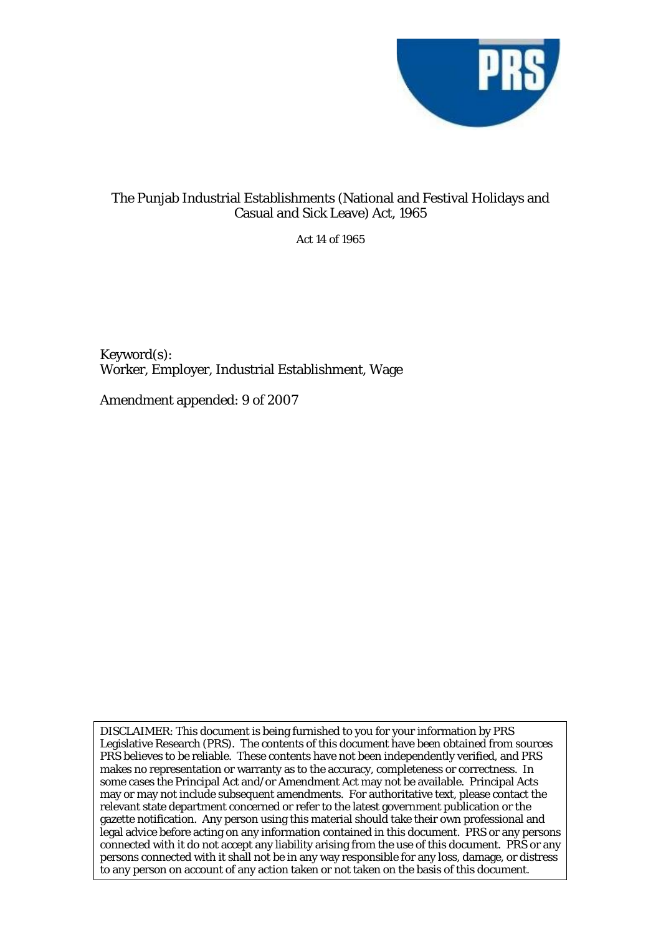

# The Punjab Industrial Establishments (National and Festival Holidays and Casual and Sick Leave) Act, 1965

Act 14 of 1965

Keyword(s): Worker, Employer, Industrial Establishment, Wage

Amendment appended: 9 of 2007

DISCLAIMER: This document is being furnished to you for your information by PRS Legislative Research (PRS). The contents of this document have been obtained from sources PRS believes to be reliable. These contents have not been independently verified, and PRS makes no representation or warranty as to the accuracy, completeness or correctness. In some cases the Principal Act and/or Amendment Act may not be available. Principal Acts may or may not include subsequent amendments. For authoritative text, please contact the relevant state department concerned or refer to the latest government publication or the gazette notification. Any person using this material should take their own professional and legal advice before acting on any information contained in this document. PRS or any persons connected with it do not accept any liability arising from the use of this document. PRS or any persons connected with it shall not be in any way responsible for any loss, damage, or distress to any person on account of any action taken or not taken on the basis of this document.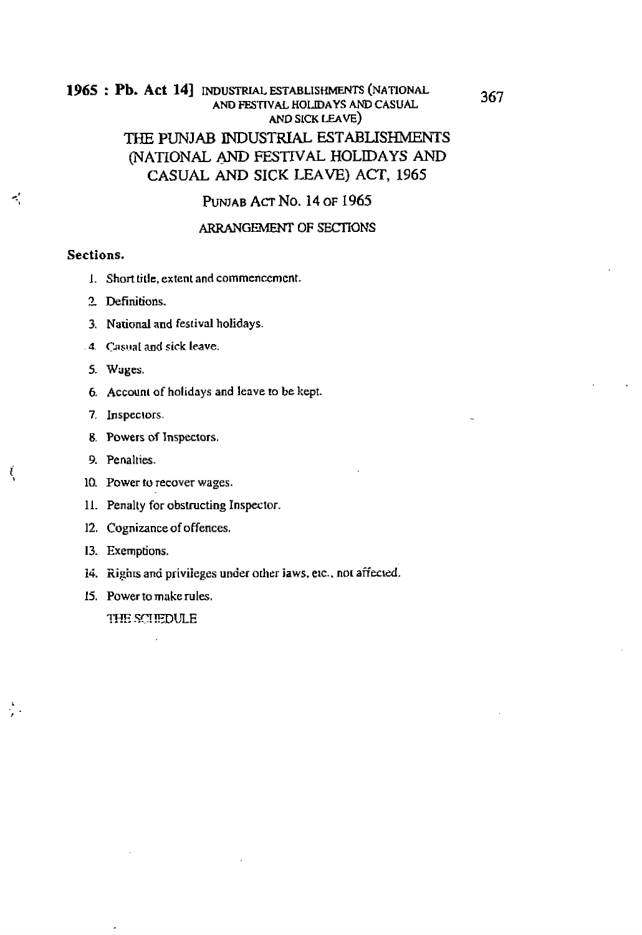## : **Pb. Act 141 NDUSTRIAL ESTABLISHMENTS (NATIONAL AND FESTIVAL HOLIDAYS AND CASUAL AND SICK** LEAVE)

# THE PUNJAB INDUSTRIAL ESTABLISHMENTS **(NATIONAL** AND **FESTIVAL HOLIDAYS** AND **CASUAL** AND **SICK LEAVE) ACT, 1965**

PUNJAB ACT NO. 14 OF 1965

### ARRANGEMENT OF SECTIONS

### **Sections.**

 $\mathcal{L}$ 

ξ

- 1. **Short tide, extent and commenccmcnt.**
- **3 Definitions.**
- **3. Nauonal and festival holidays.**
- **4. Casual and sick leave.**
- **5. W~ges.**
- *6.* **Account** of **holidays and leave to be kept.**
- **7. Inspeclors.**
- **8. Powers of Inspectors.**
- 9. Penalties.
- 10. **Power to recover wages.**
- 11. **Penalty** for **obstructing Inspector.**
- 12. **Cognizance** of **offences.**
- **13. Exemptions.**
- 14. **Eights and privileges under** odwr **laws, eic.. nor affected.**
- 15. **Power to make rules.**

THE SCIFEDULE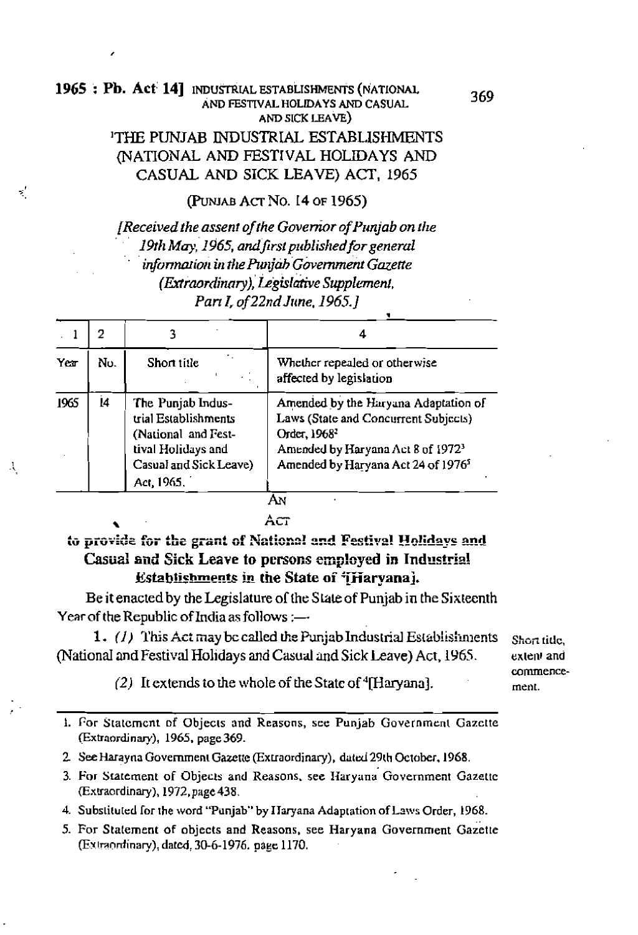## 1965 : Pb. Act 14] INDUSTRIAL ESTABLISHMENTS (NATIONAL AND FESTIVAL HOLIDAYS AND CASUAL AND SICK LEAVE)

 $\mathbf{x}'$ 

Ą

## THE PUNJAB INDUSTRIAL ESTABLISHMENTS (NATIONAL AND FESTIVAL HOLIDAYS AND CASUAL AND SICK LEAVE) ACT, 1965

(PUNJAB ACT NO. 14 OF 1965)

[Received the assent of the Governor of Punjab on the 19th May, 1965, and first published for general information in the Punjab Government Gazette (Extraordinary), Legislative Supplement, Part I, of 22nd June, 1965.]

|      | 2   |                                                                                                                                |                                                                                                                                                                                                             |
|------|-----|--------------------------------------------------------------------------------------------------------------------------------|-------------------------------------------------------------------------------------------------------------------------------------------------------------------------------------------------------------|
| Yer  | No. | ٠.<br>Short title                                                                                                              | Whether repealed or otherwise<br>affected by legislation                                                                                                                                                    |
| 1965 | 14  | The Punjab Indus-<br>trial Establishments<br>(National and Fest-<br>tival Holidays and<br>Casual and Sick Leave)<br>Act, 1965. | Amended by the Haryana Adaptation of<br>Laws (State and Concurrent Subjects)<br>Order, 1968 <sup>2</sup><br>Amended by Haryana Act 8 of 1972 <sup>3</sup><br>Amended by Haryana Act 24 of 1976 <sup>5</sup> |

AN

### Act

# to provide for the grant of National and Festival Holidays and Casual and Sick Leave to persons employed in Industrial Establishments in the State of 'iHarvana).

Be it enacted by the Legislature of the State of Punjab in the Sixteenth Year of the Republic of India as follows :-

1. (1) This Act may be called the Punjab Industrial Establishments (National and Festival Holidays and Casual and Sick Leave) Act, 1965.

(2) It extends to the whole of the State of  $\rm{^4}$ [Haryana].

Short title. extent and commencement.

1. For Statement of Objects and Reasons, see Punjab Government Gazette (Extraordinary), 1965, page 369.

2. See Harayna Government Gazette (Extraordinary), dated 29th October, 1968.

- 3. For Statement of Objects and Reasons, see Haryana Government Gazette (Extraordinary), 1972, page 438.
- 4. Substituted for the word "Punjab" by Haryana Adaptation of Laws Order, 1968.
- 5. For Statement of objects and Reasons, see Haryana Government Gazette (Extraordinary), dated, 30-6-1976. page 1170.

369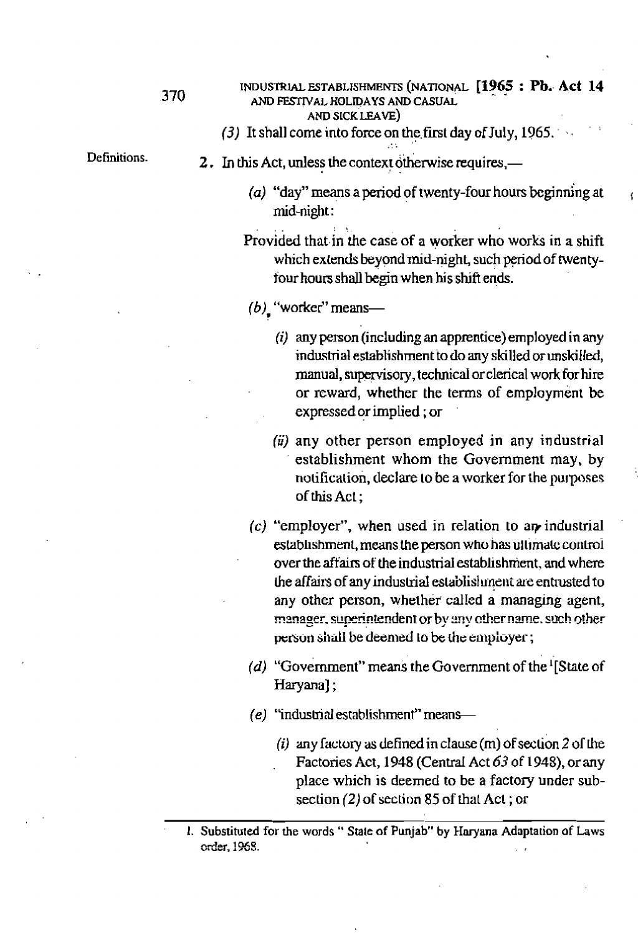(3) It shall come into force on the first day of July, 1965.

Definitions.

- 2. In this Act, unless the context otherwise requires,—
	- ( $a$ ) "day" means a period of twenty-four hours beginning at mid-night:
	- Provided that in the case of a worker who works in a shift which extends beyond mid-night, such period of twentyfour hours shall begin when his shift ends.
	- $(b)$ , "worker" means-
		- $(i)$  any person (including an apprentice) employed in any industrial establishment to do any skilled or unskilled, manual, supervisory, technical or clerical work for hire or reward, whether the terms of employment be expressed or implied; or
		- $(ii)$  any other person employed in any industrial establishment whom the Government may, by notification, declare to be a worker for the purposes of this Act:
	- $(c)$  "employer", when used in relation to an industrial establishment, means the person who has ultimate control over the affairs of the industrial establishment, and where the affairs of any industrial establishment are entrusted to any other person, whether called a managing agent, manager, superintendent or by any other name, such other person shall be deemed to be the employer;
	- (d) "Government" means the Government of the  $\frac{1}{3}$ State of Haryana];
	- $(e)$  "industrial establishment" means-
		- (i) any factory as defined in clause (m) of section 2 of the Factories Act, 1948 (Central Act 63 of 1948), or any place which is deemed to be a factory under subsection (2) of section 85 of that Act; or

<sup>1.</sup> Substituted for the words "State of Punjab" by Haryana Adaptation of Laws order, 1968.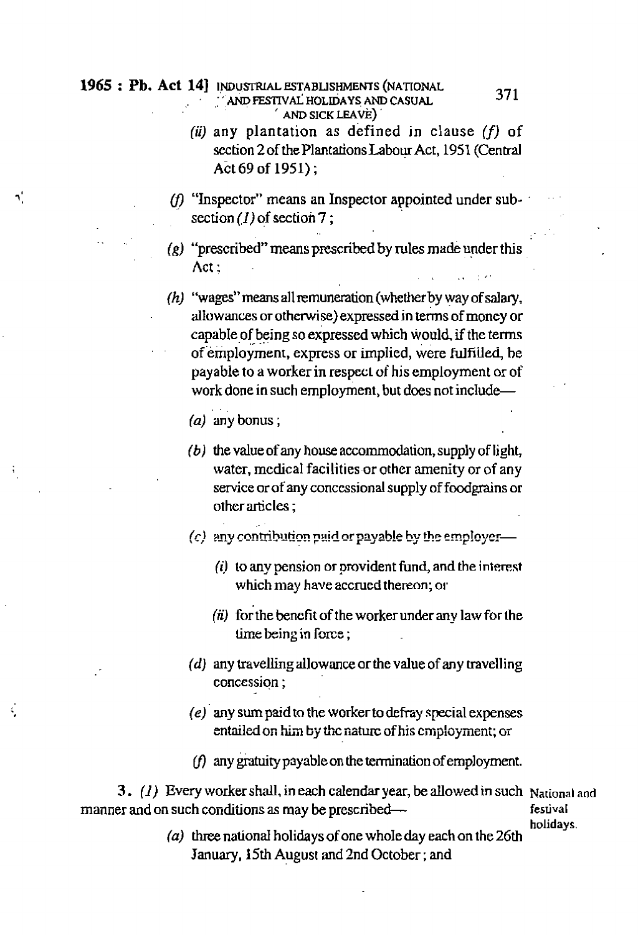## 1965 : Pb. Act 14] INDUSTRIAL ESTABLISHMENTS (NATIONAL AND FESTIVAL HOLIDAYS AND CASUAL

## **AND SICK LEAVE)**

(ii) any plantation as defined in clause  $(f)$  of section 2 of the Plantations Labour Act, 1951 (Central Act 69 of 1951):

371

- (f) "Inspector" means an Inspector appointed under sub- $\blacksquare$ section  $(1)$  of section 7;
- $(g)$  "prescribed" means prescribed by rules made under this Act:
- (h) "wages" means all remuneration (whether by way of salary, allowances or otherwise) expressed in terms of money or capable of being so expressed which would, if the terms of employment, express or implied, were fulfilled, be payable to a worker in respect of his employment or of work done in such employment, but does not include-

(a) any bonus;

h,

ś,

- $(b)$  the value of any house accommodation, supply of light, water, medical facilities or other amenity or of any service or of any concessional supply of foodgrains or other articles:
- (c) any contribution paid or payable by the employer-
	- (i) to any pension or provident fund, and the interest which may have accrued thereon; or
	- (ii) for the benefit of the worker under any law for the time being in force;
- (d) any travelling allowance or the value of any travelling concession:
- (e) any sum paid to the worker to defray special expenses entailed on him by the nature of his employment; or
- $(f)$  any gratuity payable on the termination of employment.

3. (1) Every worker shall, in each calendar year, be allowed in such National and manner and on such conditions as may be prescribedfestival

holidays.

 $(a)$  three national holidays of one whole day each on the 26th January, 15th August and 2nd October; and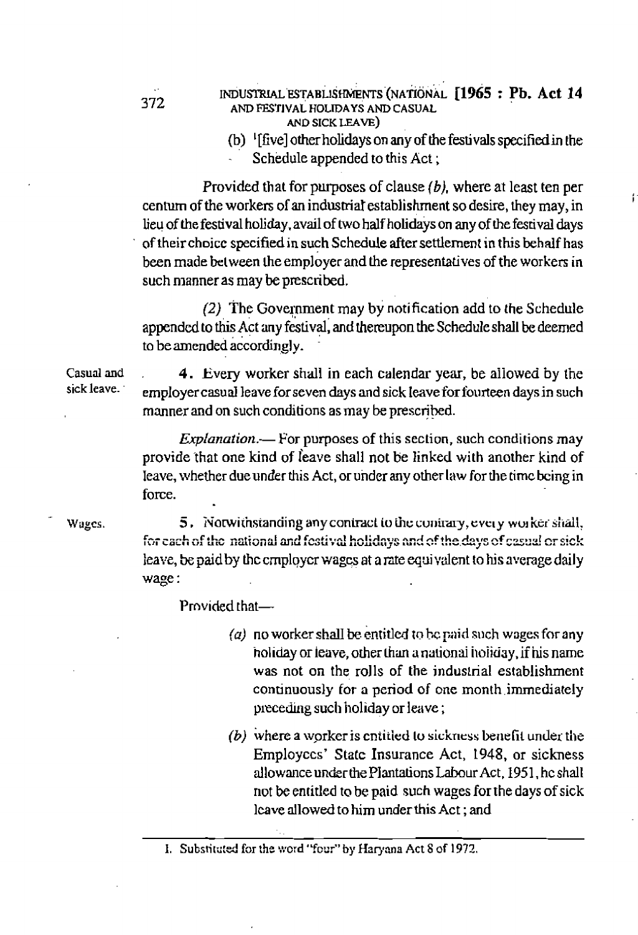- INDUSTRIAL ESTABLISHMENTS (NATIONAL [1965 : Pb. Act 14 AND FESTIVAL HOLIDAYS AND CASUAL AND SICK LEAVE)
	- (b)  $\frac{1}{2}$  [five] other holidays on any of the festivals specified in the Schedule appended to this Act;

Provided that for purposes of clause  $(b)$ , where at least ten per centum of the workers of an industrial establishment so desire, they may, in lieu of the festival holiday, avail of two half holidays on any of the festival days of their choice specified in such Schedule after settlement in this behalf has been made between the employer and the representatives of the workers in such manner as may be prescribed.

(2) The Government may by notification add to the Schedule appended to this Act any festival, and thereupon the Schedule shall be deemed to be amended accordingly.

Casual and 4. Every worker shall in each calendar year, be allowed by the sick leave. employer casual leave for seven days and sick leave for fourteen days in such manner and on such conditions as may be prescribed.

> *Explanation*.— For purposes of this section, such conditions may provide that one kind of leave shall not be linked with another kind of leave, whether due under this Act, or under any other law for the time being in force.

Wages.

5. Notwithstanding any contract to the contrary, every worker shall, for each of the national and festival holidays and of the days of casual or sick leave, be paid by the employer wages at a rate equivalent to his average daily wage:

Provided that-

- (a) no worker shall be entitled to be paid such wages for any holiday or leave, other than a national holiday, if his name was not on the rolls of the industrial establishment continuously for a period of one month immediately preceding such holiday or leave;
- (b) where a worker is entitled to sickness benefit under the Employees' State Insurance Act, 1948, or sickness allowance under the Plantations Labour Act, 1951, he shall not be entitled to be paid such wages for the days of sick leave allowed to him under this Act; and

I. Substituted for the word "four" by Haryana Act 8 of 1972.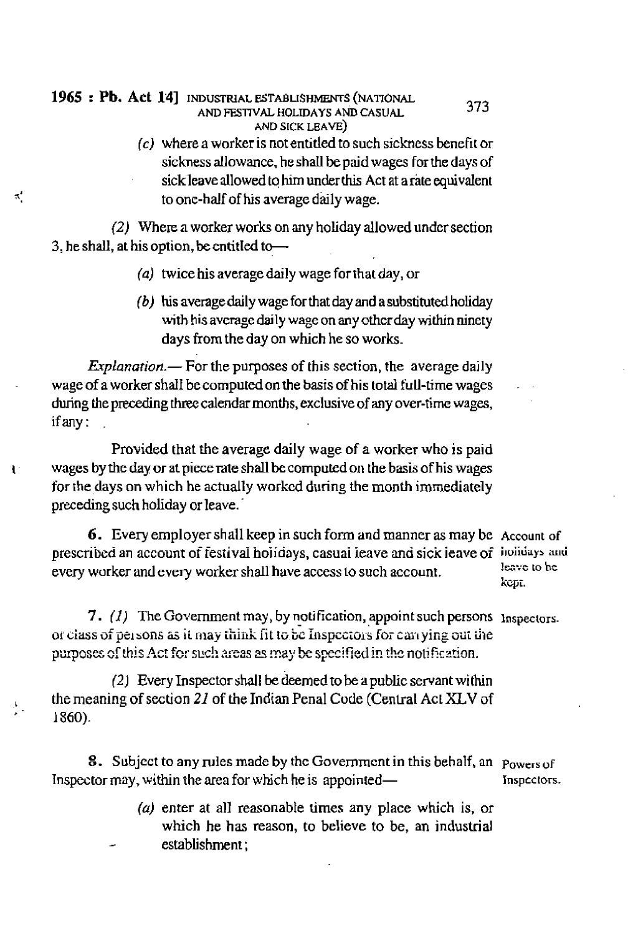### 1965 : Pb. Act 14] INDUSTRIAL ESTABLISHMENTS (NATIONAL AND FESTIVAL HOLIDAYS AND CASUAL AND SICK LEAVE)

 $\pi'$ 

ŧ.

 $(c)$  where a worker is not entitled to such sickness benefit or sickness allowance, he shall be paid wages for the days of sick leave allowed to him under this Act at a rate equivalent to one-half of his average daily wage.

(2) Where a worker works on any holiday allowed under section 3, he shall, at his option, be entitled to-

- (a) twice his average daily wage for that day, or
- $(b)$  his average daily wage for that day and a substituted holiday with his average daily wage on any other day within ninety days from the day on which he so works.

*Explanation*.  $\leftarrow$  For the purposes of this section, the average daily wage of a worker shall be computed on the basis of his total full-time wages during the preceding three calendar months, exclusive of any over-time wages, if any:

Provided that the average daily wage of a worker who is paid wages by the day or at piece rate shall be computed on the basis of his wages for the days on which he actually worked during the month immediately preceding such holiday or leave.

**6.** Every employer shall keep in such form and manner as may be Account of prescribed an account of festival holidays, casual leave and sick leave of holidays and every worker and every worker shall have access to such account.

leave to be KCDT.

373

7. (1) The Government may, by notification, appoint such persons  $\Gamma$  has bectors. or class of persons as it may think fit to be Inspectors for carrying out the purposes of this Act for such areas as may be specified in the notification.

(2) Every Inspector shall be deemed to be a public servant within the meaning of section 21 of the Indian Penal Code (Central Act XLV of 1860).

8. Subject to any rules made by the Government in this behalf, an powers of Inspector may, within the area for which he is appointed-Inspectors.

> (a) enter at all reasonable times any place which is, or which he has reason, to believe to be, an industrial establishment: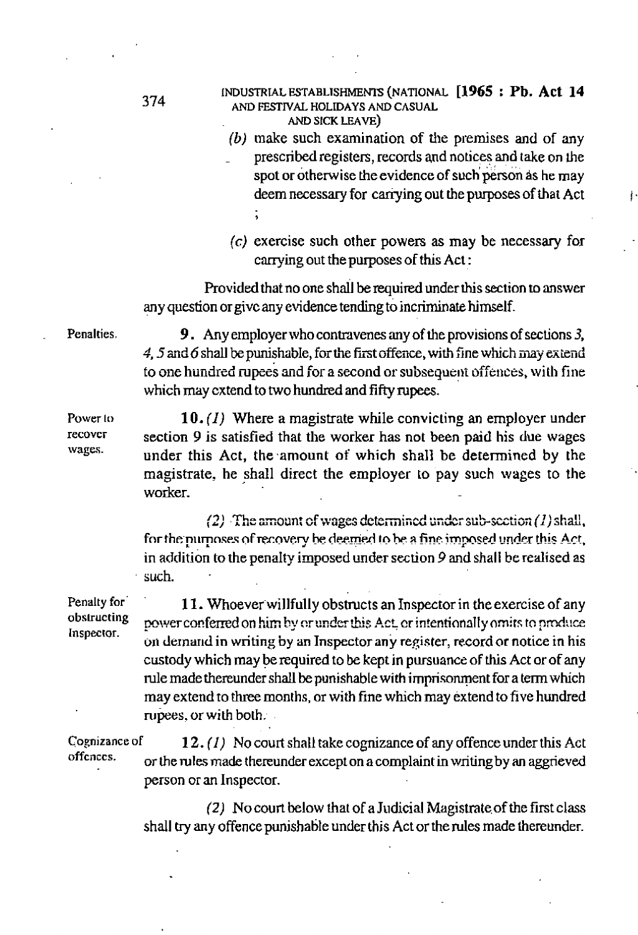#### **1374** INDUSTRIAL ESTABLISHMENTS (NATIONAL **[1965 : Pb. Act 14**<br> **AND CESTRAL HOLDANS AND CASHAL** *AND* **FE!TIWAL HOLIDAYS AND CASUAL AND SICK LEAVE)**

- *(b)* **make** such **examination of** *rtle* premises **and** of **any**  - **prescribed registers,** records **and notice+** and **take on** *the*  **spot or otherwise the evidence of such person as he may deem necessary for carrying out** the **purposes of that Act** I
- **(c) exercise such other powers as** may be necessary for carrying out the **purposes of this Act** :

**Provided that no** one **shall** be **required** under this **section to answer any** question **or givc any** evidence **tending** to incriminate himself.

**Penalties.** 9. Any employer who contravenes any of the provisions of sections 3, **\$5 ad** *6* shall be **punishabIe,** for **t'le furst** offence, **with** 5ne which **zxznd**  to **one hundred** rupees **and** for **a second** or **subsequeili** offences, **with** fine **which may cxtend** to two **hundred and fifty rupees.** 

**Power to 10.** (1) Where a magistrate while convicting an employer under recover a section 0 is satisfied that the worker has not been not bis chief wages. **recover section 9 is satisfied that the worker has not been paid his due wages vages.** under this Ast, the emergency of which shall be determined by the **wages. under this Act, the .amount of which shall be determined by the magistrate, he shall direct the employer to pay such wages** to **the worker.** 

> *9) -3e* Lyotln: zf **.vv~gzs** dctzrmt~zd r;z&r **scb-~ti~ii** *(I)* **st;&!!,**  for the purposes of recovery be deemed to be a fine imposed under this Act, in addition to the penalty imposed under section 9 and shall be realised as such.

**Penalty for 11. Whoever willfully obstructs an Inspector in the exercise of any obstructing nouvercentered** on him by example this Act existentionally emit to produce *b*structing power conferred on him by or under this Act, or intentionally omits to produce inspector.  $\alpha$  demand in writing by an Inspector any register, record or notice in his **custody which may be required** to **be kept in pursuance of this Act or of any**  rule made thereunder shall be punishable with imprisonment for a term which **may extend** to three months, or **with** fine **which** may **extend** *to* **five hundred**  rupees, or with both.

. **of 1 2. (1) No** court shall **take** cognizance **of** any offence **under this** Act offences. **or the mlas made thereunder** except **on a complaint in writing by an aggrieved**  person or **an Inspector.** 

> **(2) No court below** that of **a** Judicial Magistmte,of **the** first class **shall try any offence punishable under this Act** or **the rules made thereunder.**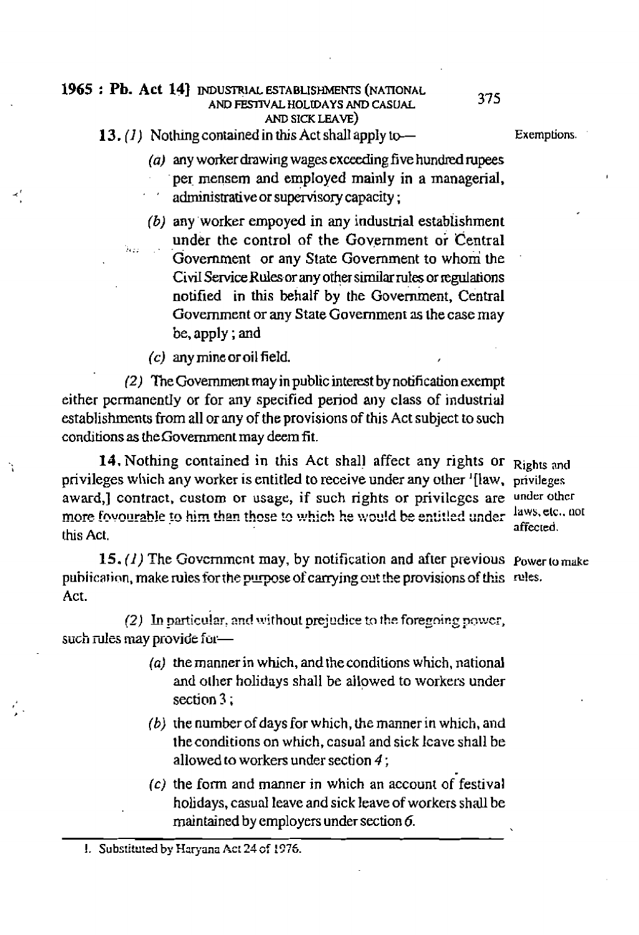### **1965**: **Pb. Act 14 Industrial ESTABLISHMENTS (NATIONAL AND FEDIVAL HOLUDAYS AND CASUAL 375 AND SICK LEAVE)**

**13.** *(I* Nothing **contained in this Act** shall **apply** b- **Exemptions.** 

## *(a)* **my** worker **drawing wages exceeding five** hundred rupees **per** mensem and **empIoyed mainly in a managerial, administrative** *or* **supervisory capacity** ;

*(b)* **any 'worker empoyed in any induskial estabhshment under the control of the Government or Central**  $\kappa_{\rm B}$  ,  $\kappa_{\rm B}$  -  $\frac{100}{\omega_{\rm B}}$ Government **or any State Government to whom** the Civil Service Rules or any other similar rules or regulations **notified** in this behalf by the Government, Central **Government** or **any State Govemment as the case may**  be, **apply** ; **and** 

**(c) any** mine **or oi** l **field.** 

(2) The **Government may in public interest by** notification **exempt either** permanently **or** for **any specified period any class** of **industrial**  establishments horn **all** *or* **any** of **the provisions of this Act subject to such**  condtions **as** the **Government may** deem **fit** .

**14.** Nothing contained in this Act shall affect any rights or Rights and **privileges which any worker is entitled to receive under any other '[law, privileges award,] contract, custom or usage, if** such **rights** or **privilcgcs** are **underothcr**  more fovourable to him than those to which he would be entitled under this Act.

**15.** *(1)* The Govzrnmcn **t may, by** notification **and after** previous power **to** make publication, make rules for the purpose of carrying out the provisions of this rules. **Act.** 

(2) **Ln** pnrtir,u!2r, **2nd** without **~rej~dice** tg **the** foregrin2 ycr,  $\frac{1}{2}$  such rules may provide for-

- **(a) the manner in which, and [he conditions which,** national and **ollier holidays** shall **be allowed** to worker?; **under**  section 3 **;**  $\frac{1}{2}$  **section 3 ;** 
	- *(b)* **the number** of **days for which,** the manner in which, **and theconditions on which, casual** and **sick lcavc shall** be **allowed to workers under section 4** ;
	- {c) **the** fom **and manner in which an account** of **festival holidays,** casual **leave** and **sick leave of workers shall be**  maintained **by** employers **under section** *6.*

affected.

<sup>!.</sup> **Subs!Itu!d by Hqana** *hc:* **24** of **i37Q**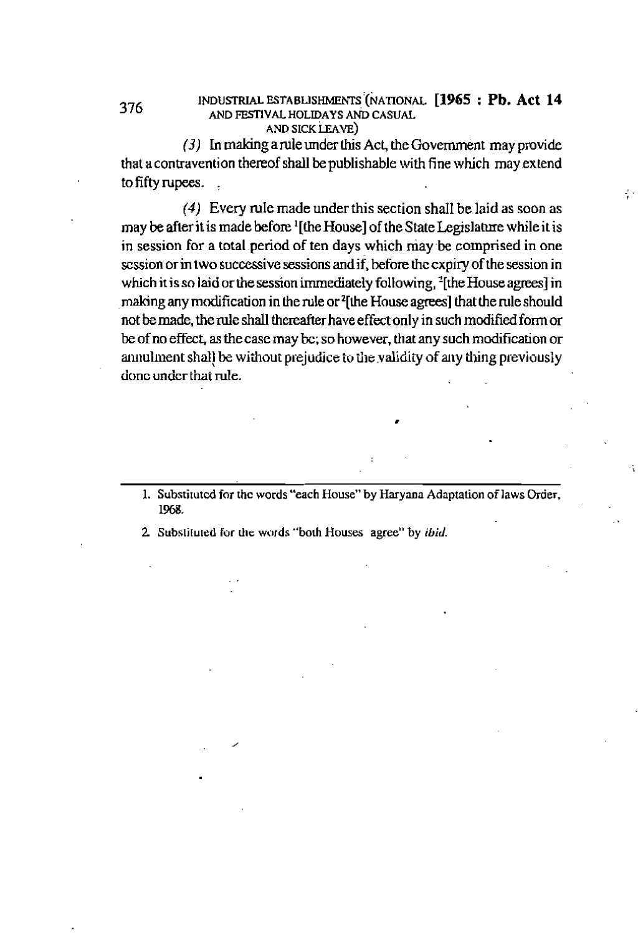#### INDUSTRIAL ESTABLISHMENTS (NATIONAL [1965 : Pb. Act 14 AND FESTIVAL HOLIDAYS AND CASUAL AND SICK LEAVE)

ş.

 $(3)$  In making a rule under this Act, the Government may provide that a contravention thereof shall be publishable with fine which may extend to fifty rupees.

376

(4) Every rule made under this section shall be laid as soon as may be after it is made before '[the House] of the State Legislature while it is in session for a total period of ten days which may be comprised in one session or in two successive sessions and if, before the expiry of the session in which it is so laid or the session immediately following, <sup>2</sup>[the House agrees] in making any modification in the rule or <sup>2</sup>[the House agrees] that the rule should not be made, the rule shall thereafter have effect only in such modified form or be of no effect, as the case may bc; so however, that any such modification or annulment shall be without prejudice to the validity of any thing previously done under that rule.

1. Substituted for the words "each House" by Haryana Adaptation of laws Order, 1968.

2. Substituted for the words "both Houses agree" by ibid.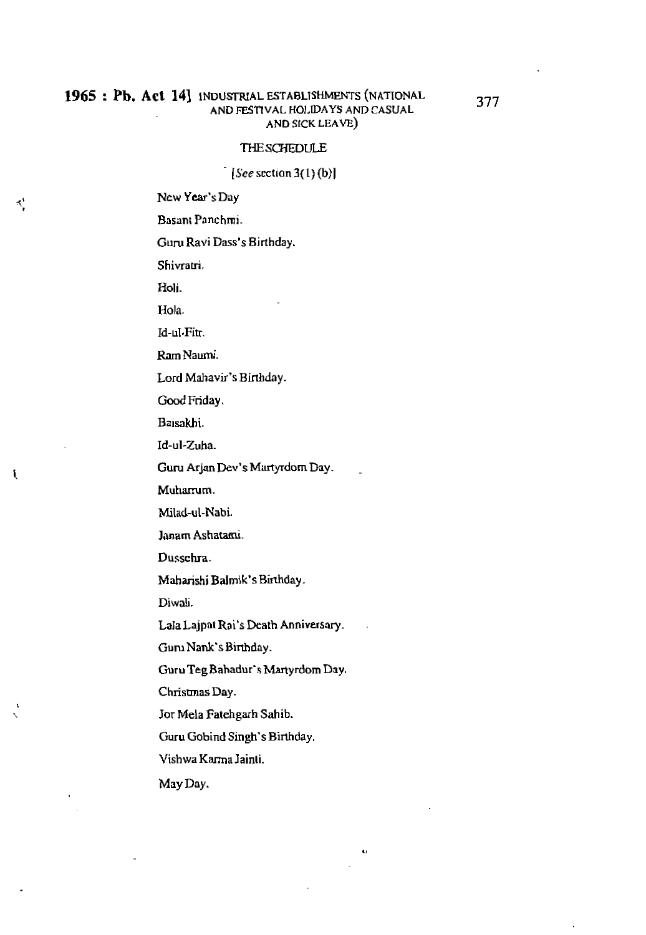#### 1965: Pb. Act 14<sup>1</sup> INDUSTRIAL ESTABLISHMENTS (NATIONAL **AND FESnVAL HOI.WAYS AND CASUAL AND SICK LEAVE)**

#### THESCHEDULE

**[See sectian 3(l)** (b)l

**Ncw Ycar's Day** 

Basant Panchmi.

**Guru Ravi Dass's Birthday.** 

**Shivram.** 

**Holi.** 

₹,

U

**Hola.** 

Id-u1.Fitr.

RamNawni.

Lord Mahavir's Birthday.

Good **Friday.** 

Baisakhi.

**Id-ul-Zuha.** 

**Guru Arjan Dev's** Martyrdom Day. -

Muharrum.

**Milad-ul-Nabi.** 

**Imam Ashatami.** 

**Dusschra.** 

**Maharishi Balmik's Binhday.** 

Diwali.

Lala Lajpat Rai's Death Anniversary.

Guru **Nank's Birthday.** 

**Guru Teg Bahadur's Martyrdom Day.** 

 $\mathbf{C}$ 

**Chrismas Day.** 

Jor **Mela Fatehgarh Sahib.** 

**Guru Gobind Singh's Birthday.** 

**Vishwa** Karma **Jainli.** 

**May Day.**